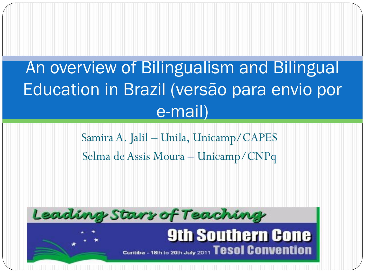# An overview of Bilingualism and Bilingual Education in Brazil (versão para envio por e-mail)

Samira A. Jalil – Unila, Unicamp/CAPES Selma de Assis Moura – Unicamp/CNPq

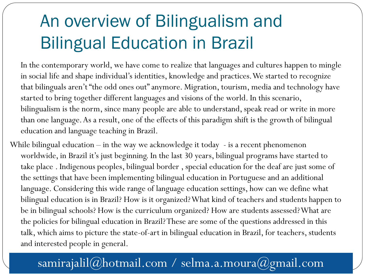# An overview of Bilingualism and Bilingual Education in Brazil

In the contemporary world, we have come to realize that languages and cultures happen to mingle in social life and shape individual's identities, knowledge and practices. We started to recognize that bilinguals aren't "the odd ones out" anymore. Migration, tourism, media and technology have started to bring together different languages and visions of the world. In this scenario, bilingualism is the norm, since many people are able to understand, speak read or write in more than one language. As a result, one of the effects of this paradigm shift is the growth of bilingual education and language teaching in Brazil.

While bilingual education – in the way we acknowledge it today - is a recent phenomenon worldwide, in Brazil it's just beginning. In the last 30 years, bilingual programs have started to take place . Indigenous peoples, bilingual border , special education for the deaf are just some of the settings that have been implementing bilingual education in Portuguese and an additional language. Considering this wide range of language education settings, how can we define what bilingual education is in Brazil? How is it organized? What kind of teachers and students happen to be in bilingual schools? How is the curriculum organized? How are students assessed? What are the policies for bilingual education in Brazil? These are some of the questions addressed in this talk, which aims to picture the state-of-art in bilingual education in Brazil, for teachers, students and interested people in general.

#### samirajalil@hotmail.com / selma.a.moura@gmail.com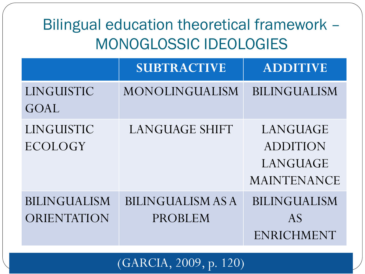### Bilingual education theoretical framework – MONOGLOSSIC IDEOLOGIES

|                                    | <b>SUBTRACTIVE</b>                         | <b>ADDITIVE</b>                                               |
|------------------------------------|--------------------------------------------|---------------------------------------------------------------|
| LINGUISTIC<br>GOAL                 | MONOLINGUALISM                             | <b>BILINGUALISM</b>                                           |
| LINGUISTIC<br>ECOLOGY              | <b>LANGUAGE SHIFT</b>                      | LANGUAGE<br><b>ADDITION</b><br>LANGUAGE<br><b>MAINTENANCE</b> |
| <b>BILINGUALISM</b><br>ORIENTATION | <b>BILINGUALISM AS A</b><br><b>PROBLEM</b> | <b>BILINGUALISM</b><br>AS<br>ENRICHMENT                       |

(GARCIA, 2009, p. 120)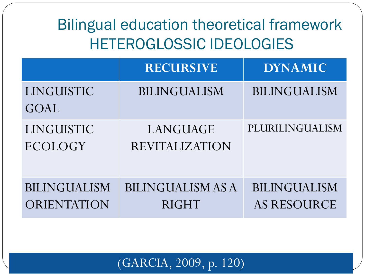### Bilingual education theoretical framework HETEROGLOSSIC IDEOLOGIES

|                                    | <b>RECURSIVE</b>                         | <b>DYNAMIC</b>                            |
|------------------------------------|------------------------------------------|-------------------------------------------|
| LINGUISTIC<br>GOAL                 | <b>BILINGUALISM</b>                      | <b>BILINGUALISM</b>                       |
| LINGUISTIC<br>ECOLOGY              | LANGUAGE<br><b>REVITALIZATION</b>        | PLURILINGUALISM                           |
| <b>BILINGUALISM</b><br>ORIENTATION | <b>BILINGUALISM AS A</b><br><b>RIGHT</b> | <b>BILINGUALISM</b><br><b>AS RESOURCE</b> |

#### (GARCIA, 2009, p. 120)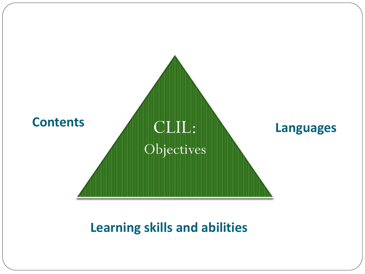

#### **Learning skills and abilities**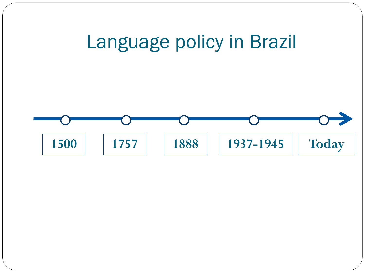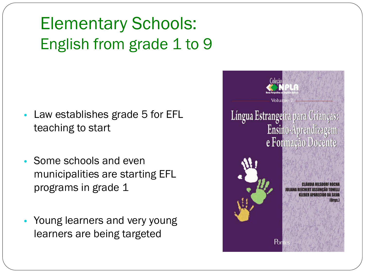## Elementary Schools: English from grade 1 to 9

- Law establishes grade 5 for EFL teaching to start
- Some schools and even municipalities are starting EFL programs in grade 1
- Young learners and very young learners are being targeted

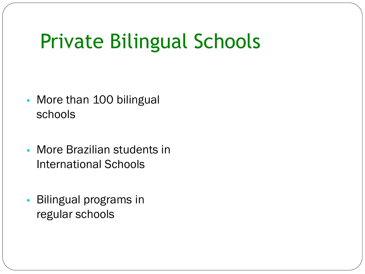# Private Bilingual Schools

- More than 100 bilingual schools
- More Brazilian students in International Schools
- Bilingual programs in regular schools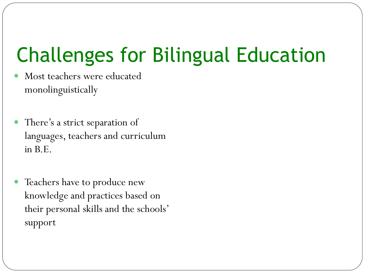# Challenges for Bilingual Education

- Most teachers were educated monolinguistically
- There's a strict separation of languages, teachers and curriculum in B.E.
- Teachers have to produce new knowledge and practices based on their personal skills and the schools' support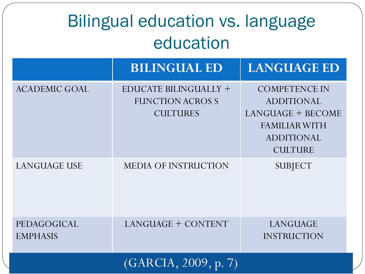| <b>Bilingual education vs. language</b><br>education |                                                                           |                                                                                                                               |  |  |
|------------------------------------------------------|---------------------------------------------------------------------------|-------------------------------------------------------------------------------------------------------------------------------|--|--|
|                                                      | <b>BILINGUAL ED</b>                                                       | <b>LANGUAGE ED</b>                                                                                                            |  |  |
| <b>ACADEMIC GOAL</b>                                 | <b>EDUCATE BILINGUALLY +</b><br><b>FUNCTION ACROSS</b><br><b>CULTURES</b> | <b>COMPETENCE IN</b><br><b>ADDITIONAL</b><br>LANGUAGE + BECOME<br><b>FAMILIAR WITH</b><br><b>ADDITIONAL</b><br><b>CULTURE</b> |  |  |
| <b>LANGUAGE USE</b>                                  | <b>MEDIA OF INSTRUCTION</b>                                               | <b>SUBJECT</b>                                                                                                                |  |  |
| PEDAGOGICAL<br><b>EMPHASIS</b>                       | LANGUAGE + CONTENT                                                        | LANGUAGE<br><b>INSTRUCTION</b>                                                                                                |  |  |
|                                                      | (GARCIA, 2009, p. 7)                                                      |                                                                                                                               |  |  |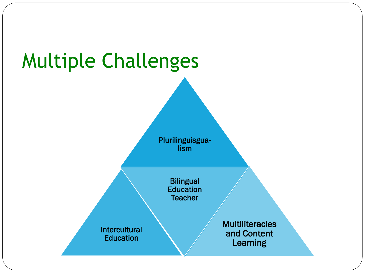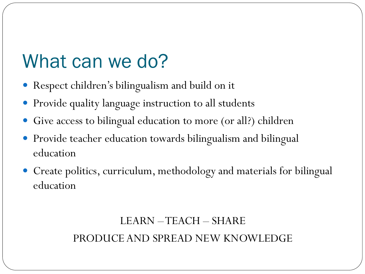# What can we do?

- Respect children's bilingualism and build on it
- Provide quality language instruction to all students
- Give access to bilingual education to more (or all?) children
- Provide teacher education towards bilingualism and bilingual education
- Create politics, curriculum, methodology and materials for bilingual education

#### LEARN –TEACH – SHARE PRODUCE AND SPREAD NEW KNOWLEDGE